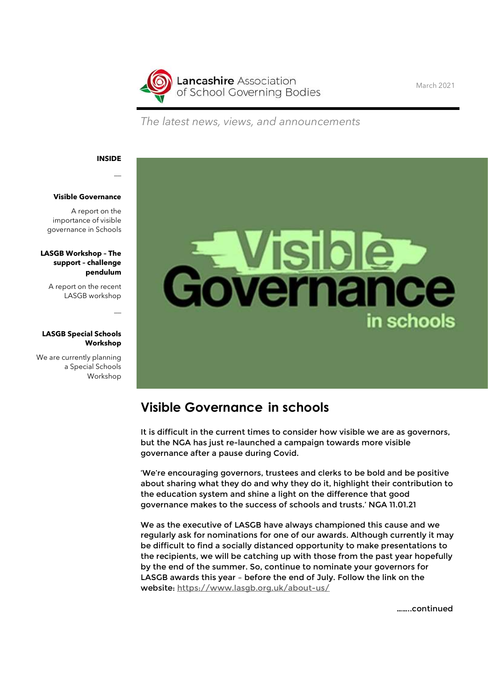

March 2021

The latest news, views, and announcements

### INSIDE

 $\overline{\phantom{0}}$ 

 $\overline{\phantom{0}}$ 

#### Visible Governance

A report on the importance of visible governance in Schools

### LASGB Workshop – The support – challenge pendulum

A report on the recent LASGB workshop

### LASGB Special Schools Workshop

We are currently planning a Special Schools Workshop



## Visible Governance in schools

It is difficult in the current times to consider how visible we are as governors, but the NGA has just re-launched a campaign towards more visible governance after a pause during Covid.

'We're encouraging governors, trustees and clerks to be bold and be positive about sharing what they do and why they do it, highlight their contribution to the education system and shine a light on the difference that good governance makes to the success of schools and trusts.' NGA 11.01.21

We as the executive of LASGB have always championed this cause and we regularly ask for nominations for one of our awards. Although currently it may be difficult to find a socially distanced opportunity to make presentations to the recipients, we will be catching up with those from the past year hopefully by the end of the summer. So, continue to nominate your governors for LASGB awards this year – before the end of July. Follow the link on the website: https://www.lasgb.org.uk/about-us/

……..continued